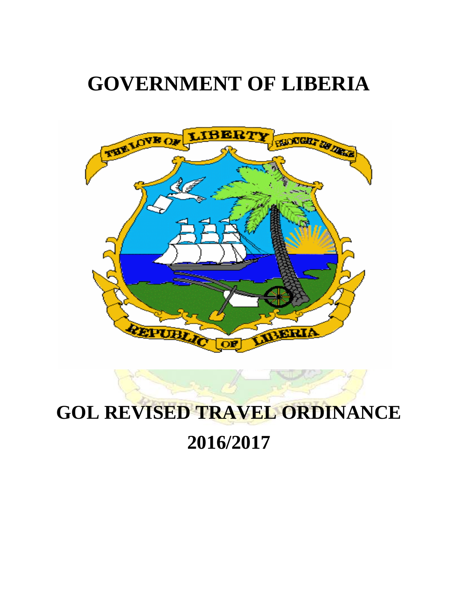# **GOVERNMENT OF LIBERIA**





# **2016/2017**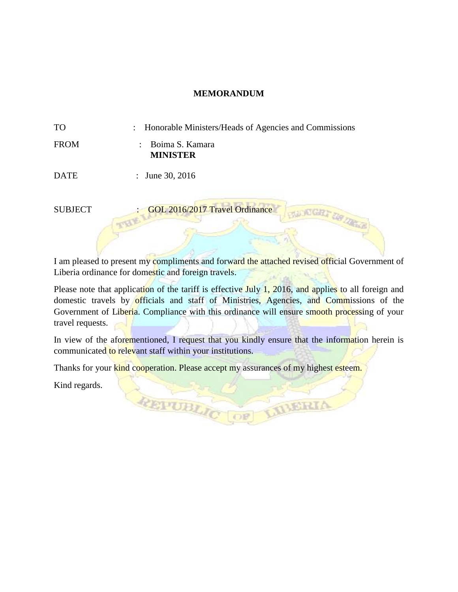#### **MEMORANDUM**

| <b>TO</b> |  |  |  | Honorable Ministers/Heads of Agencies and Commissions |
|-----------|--|--|--|-------------------------------------------------------|
|-----------|--|--|--|-------------------------------------------------------|

| <b>FROM</b> | : Boima S. Kamara |
|-------------|-------------------|
|             | <b>MINISTER</b>   |

DATE : June 30, 2016

SUBJECT : GOL 2016/2017 Travel Ordinance

I am pleased to present my compliments and forward the attached revised official Government of Liberia ordinance for domestic and foreign travels.

**NOGR** 

**LIBERIA** 

Please note that application of the tariff is effective July 1, 2016, and applies to all foreign and domestic travels by officials and staff of Ministries, Agencies, and Commissions of the Government of Liberia. Compliance with this ordinance will ensure smooth processing of your travel requests.

In view of the aforementioned, I request that you kindly ensure that the information herein is communicated to relevant staff within your institutions.

Thanks for your kind cooperation. Please accept my assurances of my highest esteem.

REPUBLIC

Kind regards.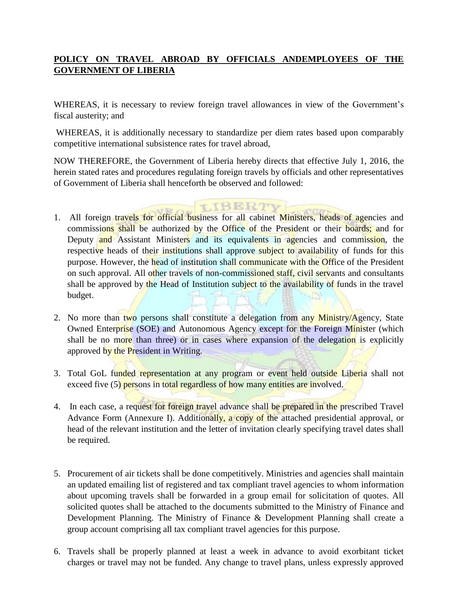## **POLICY ON TRAVEL ABROAD BY OFFICIALS ANDEMPLOYEES OF THE GOVERNMENT OF LIBERIA**

WHEREAS, it is necessary to review foreign travel allowances in view of the Government's fiscal austerity; and

WHEREAS, it is additionally necessary to standardize per diem rates based upon comparably competitive international subsistence rates for travel abroad,

NOW THEREFORE, the Government of Liberia hereby directs that effective July 1, 2016, the herein stated rates and procedures regulating foreign travels by officials and other representatives of Government of Liberia shall henceforth be observed and followed:

**THERTY** 

- 1. All foreign travels for official business for all cabinet Ministers, heads of agencies and commissions shall be authorized by the Office of the President or their boards; and for Deputy and Assistant Ministers and its equivalents in agencies and commission, the respective heads of their institutions shall approve subject to availability of funds for this purpose. However, the head of institution shall communicate with the Office of the President on such approval. All other travels of non-commissioned staff, civil servants and consultants shall be approved by the Head of Institution subject to the availability of funds in the travel budget.
- 2. No more than two persons shall constitute a delegation from any Ministry/Agency, State Owned Enterprise (SOE) and Autonomous Agency except for the Foreign Minister (which shall be no more than three) or in cases where expansion of the delegation is explicitly approved by the President in Writing.
- 3. Total GoL funded representation at any program or event held outside Liberia shall not exceed five (5) persons in total regardless of how many entities are involved.
- 4. In each case, a request for foreign travel advance shall be prepared in the prescribed Travel Advance Form (Annexure I). Additionally, a copy of the attached presidential approval, or head of the relevant institution and the letter of invitation clearly specifying travel dates shall be required.
- 5. Procurement of air tickets shall be done competitively. Ministries and agencies shall maintain an updated emailing list of registered and tax compliant travel agencies to whom information about upcoming travels shall be forwarded in a group email for solicitation of quotes. All solicited quotes shall be attached to the documents submitted to the Ministry of Finance and Development Planning. The Ministry of Finance & Development Planning shall create a group account comprising all tax compliant travel agencies for this purpose.
- 6. Travels shall be properly planned at least a week in advance to avoid exorbitant ticket charges or travel may not be funded. Any change to travel plans, unless expressly approved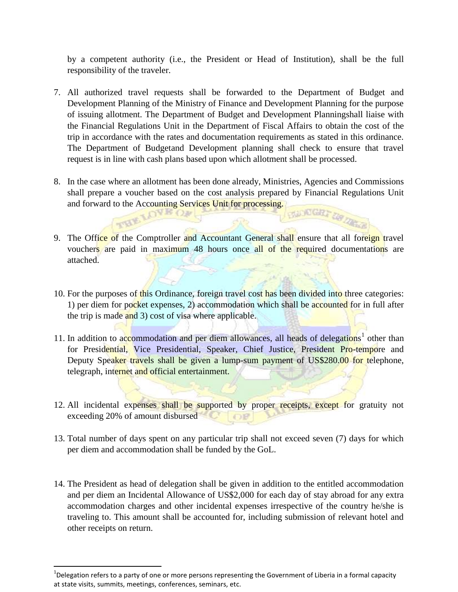by a competent authority (i.e., the President or Head of Institution), shall be the full responsibility of the traveler.

- 7. All authorized travel requests shall be forwarded to the Department of Budget and Development Planning of the Ministry of Finance and Development Planning for the purpose of issuing allotment. The Department of Budget and Development Planningshall liaise with the Financial Regulations Unit in the Department of Fiscal Affairs to obtain the cost of the trip in accordance with the rates and documentation requirements as stated in this ordinance. The Department of Budgetand Development planning shall check to ensure that travel request is in line with cash plans based upon which allotment shall be processed.
- 8. In the case where an allotment has been done already, Ministries, Agencies and Commissions shall prepare a voucher based on the cost analysis prepared by Financial Regulations Unit and forward to the Accounting Services Unit for processing. NUNCER DR.
- 9. The Office of the Comptroller and Accountant General shall ensure that all foreign travel vouchers are paid in maximum 48 hours once all of the required documentations are attached.
- 10. For the purposes of this Ordinance, foreign travel cost has been divided into three categories: 1) per diem for pocket expenses, 2) accommodation which shall be accounted for in full after the trip is made and 3) cost of visa where applicable.
- 11. In addition to accommodation and per diem allowances, all heads of delegations<sup>1</sup> other than for Presidential, Vice Presidential, Speaker, Chief Justice, President Pro-tempore and Deputy Speaker travels shall be given a lump-sum payment of US\$280.00 for telephone, telegraph, internet and official entertainment.
- 12. All incidental expenses shall be supported by proper receipts, except for gratuity not exceeding 20% of amount disbursed
- 13. Total number of days spent on any particular trip shall not exceed seven (7) days for which per diem and accommodation shall be funded by the GoL.
- 14. The President as head of delegation shall be given in addition to the entitled accommodation and per diem an Incidental Allowance of US\$2,000 for each day of stay abroad for any extra accommodation charges and other incidental expenses irrespective of the country he/she is traveling to. This amount shall be accounted for, including submission of relevant hotel and other receipts on return.

 $\overline{a}$ 

 $^{1}$ Delegation refers to a party of one or more persons representing the Government of Liberia in a formal capacity at state visits, summits, meetings, conferences, seminars, etc.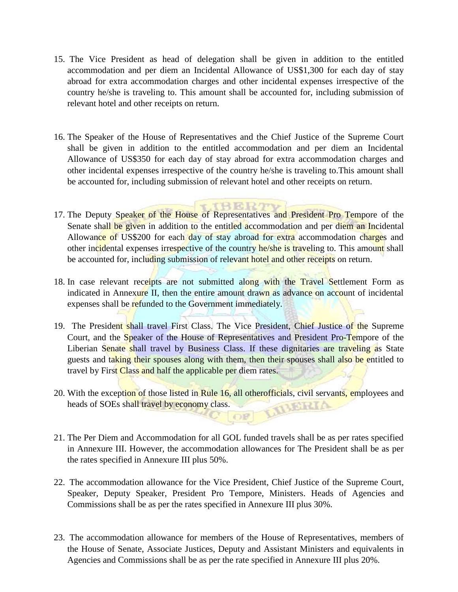- 15. The Vice President as head of delegation shall be given in addition to the entitled accommodation and per diem an Incidental Allowance of US\$1,300 for each day of stay abroad for extra accommodation charges and other incidental expenses irrespective of the country he/she is traveling to. This amount shall be accounted for, including submission of relevant hotel and other receipts on return.
- 16. The Speaker of the House of Representatives and the Chief Justice of the Supreme Court shall be given in addition to the entitled accommodation and per diem an Incidental Allowance of US\$350 for each day of stay abroad for extra accommodation charges and other incidental expenses irrespective of the country he/she is traveling to.This amount shall be accounted for, including submission of relevant hotel and other receipts on return.
- 17. The Deputy Speaker of the House of Representatives and President Pro Tempore of the Senate shall be given in addition to the entitled accommodation and per diem an Incidental Allowance of US\$200 for each day of stay abroad for extra accommodation charges and other incidental expenses irrespective of the country he/she is traveling to. This amount shall be accounted for, including submission of relevant hotel and other receipts on return.

RERTTE

- 18. In case relevant receipts are not submitted along with the Travel Settlement Form as indicated in Annexure II, then the entire amount drawn as advance on account of incidental expenses shall be refunded to the Government immediately.
- 19. The President shall travel First Class. The Vice President, Chief Justice of the Supreme Court, and the Speaker of the House of Representatives and President Pro-Tempore of the Liberian Senate shall travel by Business Class. If these dignitaries are traveling as State guests and taking their spouses along with them, then their spouses shall also be entitled to travel by First Class and half the applicable per diem rates.
- 20. With the exception of those listed in Rule 16, all otherofficials, civil servants, employees and heads of SOEs shall travel by economy class. heads of SOEs shall travel by economy class.
- 21. The Per Diem and Accommodation for all GOL funded travels shall be as per rates specified in Annexure III. However, the accommodation allowances for The President shall be as per the rates specified in Annexure III plus 50%.
- 22. The accommodation allowance for the Vice President, Chief Justice of the Supreme Court, Speaker, Deputy Speaker, President Pro Tempore, Ministers. Heads of Agencies and Commissions shall be as per the rates specified in Annexure III plus 30%.
- 23. The accommodation allowance for members of the House of Representatives, members of the House of Senate, Associate Justices, Deputy and Assistant Ministers and equivalents in Agencies and Commissions shall be as per the rate specified in Annexure III plus 20%.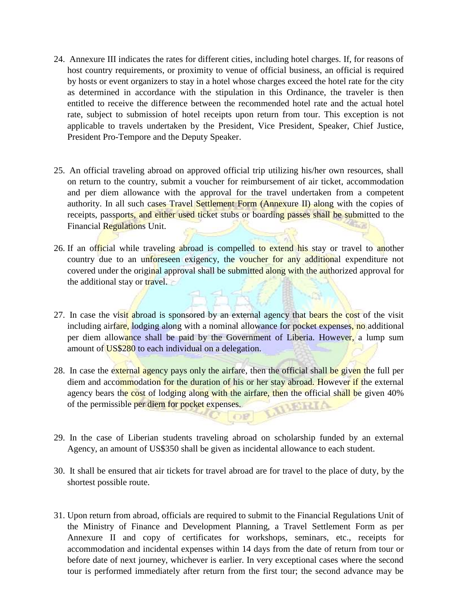- 24. Annexure III indicates the rates for different cities, including hotel charges. If, for reasons of host country requirements, or proximity to venue of official business, an official is required by hosts or event organizers to stay in a hotel whose charges exceed the hotel rate for the city as determined in accordance with the stipulation in this Ordinance, the traveler is then entitled to receive the difference between the recommended hotel rate and the actual hotel rate, subject to submission of hotel receipts upon return from tour. This exception is not applicable to travels undertaken by the President, Vice President, Speaker, Chief Justice, President Pro-Tempore and the Deputy Speaker.
- 25. An official traveling abroad on approved official trip utilizing his/her own resources, shall on return to the country, submit a voucher for reimbursement of air ticket, accommodation and per diem allowance with the approval for the travel undertaken from a competent authority. In all such cases Travel Settlement Form (Annexure II) along with the copies of receipts, passports, and either used ticket stubs or boarding passes shall be submitted to the Financial Regulations Unit.
- 26. If an official while traveling abroad is compelled to extend his stay or travel to another country due to an unforeseen exigency, the voucher for any additional expenditure not covered under the original approval shall be submitted along with the authorized approval for the additional stay or travel.
- 27. In case the visit abroad is sponsored by an external agency that bears the cost of the visit including airfare, lodging along with a nominal allowance for pocket expenses, no additional per diem allowance shall be paid by the Government of Liberia. However, a lump sum amount of **US\$280** to each individual on a delegation.
- 28. In case the external agency pays only the airfare, then the official shall be given the full per diem and accommodation for the duration of his or her stay abroad. However if the external agency bears the cost of lodging along with the airfare, then the official shall be given 40% of the permissible per diem for pocket expenses. of the permissible per diem for pocket expenses.
- 29. In the case of Liberian students traveling abroad on scholarship funded by an external Agency, an amount of US\$350 shall be given as incidental allowance to each student.
- 30. It shall be ensured that air tickets for travel abroad are for travel to the place of duty, by the shortest possible route.
- 31. Upon return from abroad, officials are required to submit to the Financial Regulations Unit of the Ministry of Finance and Development Planning, a Travel Settlement Form as per Annexure II and copy of certificates for workshops, seminars, etc., receipts for accommodation and incidental expenses within 14 days from the date of return from tour or before date of next journey, whichever is earlier. In very exceptional cases where the second tour is performed immediately after return from the first tour; the second advance may be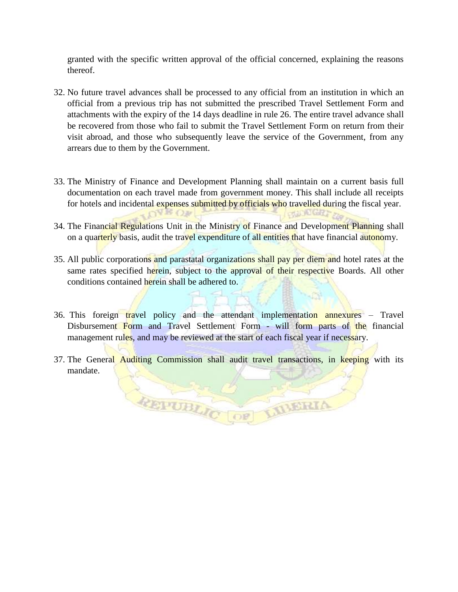granted with the specific written approval of the official concerned, explaining the reasons thereof.

- 32. No future travel advances shall be processed to any official from an institution in which an official from a previous trip has not submitted the prescribed Travel Settlement Form and attachments with the expiry of the 14 days deadline in rule 26. The entire travel advance shall be recovered from those who fail to submit the Travel Settlement Form on return from their visit abroad, and those who subsequently leave the service of the Government, from any arrears due to them by the Government.
- 33. The Ministry of Finance and Development Planning shall maintain on a current basis full documentation on each travel made from government money. This shall include all receipts for hotels and incidental expenses submitted by officials who travelled during the fiscal year.
- 34. The Financial Regulations Unit in the Ministry of Finance and Development Planning shall on a quarterly basis, audit the travel expenditure of all entities that have financial autonomy.

CALLED LOTS - 27

 $\Omega$ <sup>V</sup> IF  $\Omega$  IF

- 35. All public corporations and parastatal organizations shall pay per diem and hotel rates at the same rates specified herein, subject to the approval of their respective Boards. All other conditions contained herein shall be adhered to.
- 36. This foreign travel policy and the attendant implementation annexures Travel Disbursement Form and Travel Settlement Form - will form parts of the financial management rules, and may be reviewed at the start of each fiscal year if necessary.
- 37. The General Auditing Commission shall audit travel transactions, in keeping with its mandate.

REPUBLIC OF LIBERIA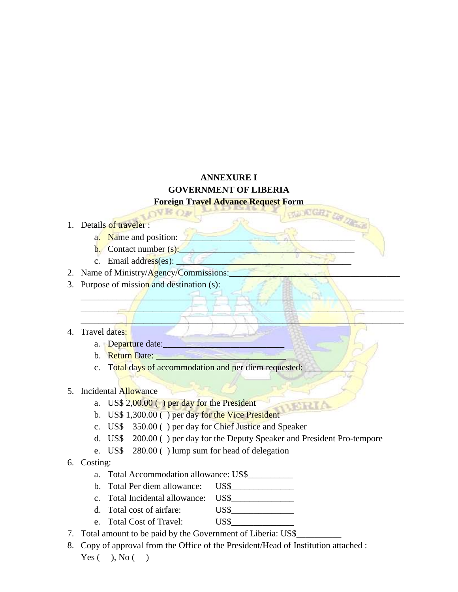# **ANNEXURE I GOVERNMENT OF LIBERIA**

#### **Foreign Travel Advance Request Form** OVE OF

#### 1. Details of traveler :

- a. Name and position:
- b. Contact number  $(s)$ :
- c. Email address(es):
- 2. Name of Ministry/Agency/Commissions:
- 3. Purpose of mission and destination (s):
- 4. Travel dates:
	- a. Departure date:
	- b. Return Date:
	- c. Total days of accommodation and per diem requested:
- 5. Incidental Allowance
	- a. US\$  $2,00.00$  ( ) per day for the President
	- b. US\$ 1,300.00 () per day for the Vice President
	- c. US\$ 350.00 ( ) per day for Chief Justice and Speaker
	- d. US\$ 200.00 ( ) per day for the Deputy Speaker and President Pro-tempore

15011

 $\mathscr{A}$  ,  $\mathscr{A}$  ,  $\mathscr{A}$  ,  $\mathscr{A}$  ,  $\mathscr{A}$  ,  $\mathscr{A}$  ,  $\mathscr{A}$  ,  $\mathscr{A}$  ,  $\mathscr{A}$  ,  $\mathscr{A}$  ,  $\mathscr{A}$  ,  $\mathscr{A}$  ,  $\mathscr{A}$  ,  $\mathscr{A}$  ,  $\mathscr{A}$  ,  $\mathscr{A}$  ,  $\mathscr{A}$  ,  $\mathscr{A}$  ,  $\mathscr{A}$  ,  $\mathscr{A}$  ,  $\mathcal{L}$   $\mathcal{L}$   $\mathcal{L}$   $\mathcal{L}$   $\mathcal{L}$   $\mathcal{L}$   $\mathcal{L}$   $\mathcal{L}$   $\mathcal{L}$   $\mathcal{L}$   $\mathcal{L}$   $\mathcal{L}$   $\mathcal{L}$   $\mathcal{L}$   $\mathcal{L}$   $\mathcal{L}$   $\mathcal{L}$   $\mathcal{L}$   $\mathcal{L}$   $\mathcal{L}$   $\mathcal{L}$   $\mathcal{L}$   $\mathcal{L}$   $\mathcal{L}$   $\mathcal{$  $\blacksquare$ 

- e. US\$ 280.00 ( ) lump sum for head of delegation
- 6. Costing:
	- a. Total Accommodation allowance: US\$\_\_\_\_\_\_\_\_\_\_
	- b. Total Per diem allowance: US\$
	- c. Total Incidental allowance: US\$\_\_\_\_\_\_\_\_\_\_\_\_\_\_
	- d. Total cost of airfare: US\$
	- e. Total Cost of Travel: US\$
- 7. Total amount to be paid by the Government of Liberia: US\$
- 8. Copy of approval from the Office of the President/Head of Institution attached : Yes  $($ , No  $($ )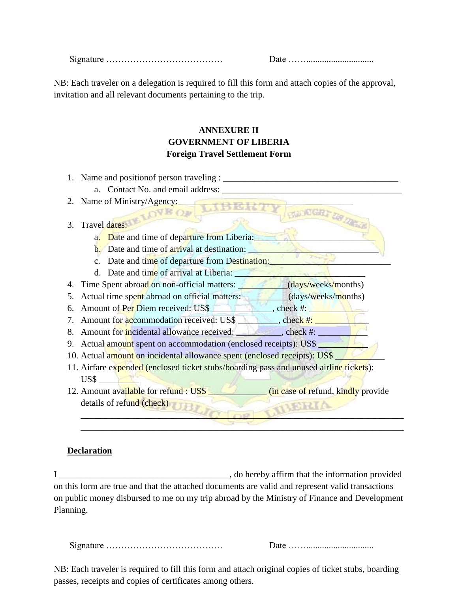Signature ………………………………… Date ……..............................

**HANDIGR** 

NB: Each traveler on a delegation is required to fill this form and attach copies of the approval, invitation and all relevant documents pertaining to the trip.

# **ANNEXURE II GOVERNMENT OF LIBERIA Foreign Travel Settlement Form**

- 1. Name and position person traveling :
	- a. Contact No. and email address:

# 2. Name of Ministry/Agency:

# 3. Travel dates: LOVE OF

- a. Date and time of departure from Liberia:
- $\mathbf{b}$ . Date and time of arrival at destination:
- c. Date and time of departure from Destination:
- d. Date and time of arrival at Liberia:
- 4. Time Spent abroad on non-official matters: **All and Contact Contact Automobile** (days/weeks/months)
- 5. Actual time spent abroad on official matters: (days/weeks/months)
- 6. Amount of Per Diem received:  $\text{USS}$   $\qquad \qquad$ , check #:
- 7. Amount for accommodation received: US\$ \_\_\_\_\_\_\_\_\_, check #:
- 8. Amount for incidental allowance received:  $\qquad \qquad$ , check #:
- 9. Actual amount spent on accommodation (enclosed receipts): US\$
- 10. Actual amount on incidental allowance spent (enclosed receipts): US\$
- 11. Airfare expended (enclosed ticket stubs/boarding pass and unused airline tickets): US\$ \_\_\_\_\_\_\_\_\_
- 12. Amount available for refund : US\$ \_\_\_\_\_\_\_\_\_\_\_\_\_ (in case of refund, kindly provide details of refund (check) \_\_\_\_\_\_\_\_\_\_\_\_\_\_\_\_\_\_\_\_\_\_\_\_\_\_\_\_\_\_\_\_\_\_\_\_\_\_\_\_\_\_\_\_\_\_\_\_\_\_\_\_\_\_\_\_\_\_\_\_\_\_\_\_\_\_\_\_\_\_\_\_

 $\mathcal{L} = \mathcal{L}$ 

## **Declaration**

I consider the information provided in the information provided on this form are true and that the attached documents are valid and represent valid transactions on public money disbursed to me on my trip abroad by the Ministry of Finance and Development Planning.

| 912 |  |
|-----|--|
|-----|--|

NB: Each traveler is required to fill this form and attach original copies of ticket stubs, boarding passes, receipts and copies of certificates among others.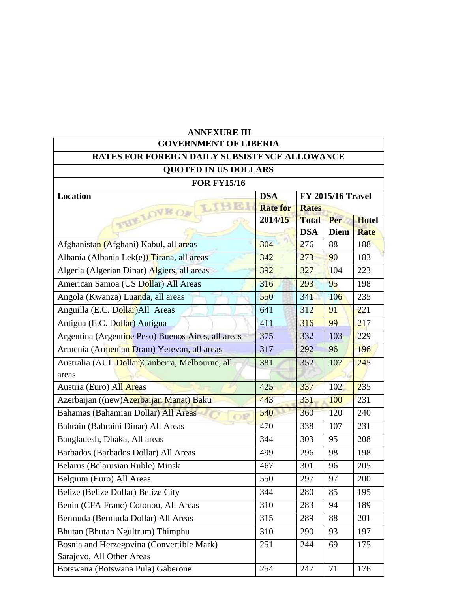| <b>ANNEXURE III</b>                                                                 |                               |                                          |                    |                             |  |
|-------------------------------------------------------------------------------------|-------------------------------|------------------------------------------|--------------------|-----------------------------|--|
| <b>GOVERNMENT OF LIBERIA</b>                                                        |                               |                                          |                    |                             |  |
| <b>RATES FOR FOREIGN DAILY SUBSISTENCE ALLOWANCE</b><br><b>QUOTED IN US DOLLARS</b> |                               |                                          |                    |                             |  |
| <b>FOR FY15/16</b>                                                                  |                               |                                          |                    |                             |  |
| <b>Location</b>                                                                     | <b>DSA</b><br><b>Rate for</b> | <b>FY 2015/16 Travel</b><br><b>Rates</b> |                    |                             |  |
| THE LOVE OF                                                                         | 2014/15                       | <b>Total</b><br><b>DSA</b>               | Per<br><b>Diem</b> | <b>Hotel</b><br><b>Rate</b> |  |
| Afghanistan (Afghani) Kabul, all areas                                              | 304                           | 276                                      | 88                 | 188                         |  |
| Albania (Albania Lek(e)) Tirana, all areas                                          | 342                           | 273                                      | 90                 | 183                         |  |
| Algeria (Algerian Dinar) Algiers, all areas                                         | 392                           | 327                                      | 104                | 223                         |  |
| American Samoa (US Dollar) All Areas                                                | 316                           | 293                                      | 95                 | 198                         |  |
| Angola (Kwanza) Luanda, all areas                                                   | 550                           | 341                                      | 106                | 235                         |  |
| Anguilla (E.C. Dollar) All Areas                                                    | 641                           | 312                                      | 91                 | 221                         |  |
| Antigua (E.C. Dollar) Antigua                                                       | 411                           | 316                                      | 99                 | 217                         |  |
| Argentina (Argentine Peso) Buenos Aires, all areas                                  | 375                           | 332                                      | 103                | 229                         |  |
| Armenia (Armenian Dram) Yerevan, all areas                                          | 317                           | 292                                      | 96                 | 196                         |  |
| Australia (AUL Dollar)Canberra, Melbourne, all<br>areas                             | 381                           | 352                                      | 107                | 245                         |  |
| Austria (Euro) All Areas                                                            | 425                           | 337                                      | 102                | 235                         |  |
| Azerbaijan ((new) Azerbaijan Manat) Baku                                            | 443                           | 331                                      | 100                | 231                         |  |
| Bahamas (Bahamian Dollar) All Areas                                                 | 540                           | 360                                      | 120                | 240                         |  |
| Bahrain (Bahraini Dinar) All Areas                                                  | 470                           | 338                                      | 107                | 231                         |  |
| Bangladesh, Dhaka, All areas                                                        | 344                           | 303                                      | 95                 | 208                         |  |
| Barbados (Barbados Dollar) All Areas                                                | 499                           | 296                                      | 98                 | 198                         |  |
| Belarus (Belarusian Ruble) Minsk                                                    | 467                           | 301                                      | 96                 | 205                         |  |
| Belgium (Euro) All Areas                                                            | 550                           | 297                                      | 97                 | 200                         |  |
| Belize (Belize Dollar) Belize City                                                  | 344                           | 280                                      | 85                 | 195                         |  |
| Benin (CFA Franc) Cotonou, All Areas                                                | 310                           | 283                                      | 94                 | 189                         |  |
| Bermuda (Bermuda Dollar) All Areas                                                  | 315                           | 289                                      | 88                 | 201                         |  |
| Bhutan (Bhutan Ngultrum) Thimphu                                                    | 310                           | 290                                      | 93                 | 197                         |  |
| Bosnia and Herzegovina (Convertible Mark)<br>Sarajevo, All Other Areas              | 251                           | 244                                      | 69                 | 175                         |  |
| Botswana (Botswana Pula) Gaberone                                                   | 254                           | 247                                      | 71                 | 176                         |  |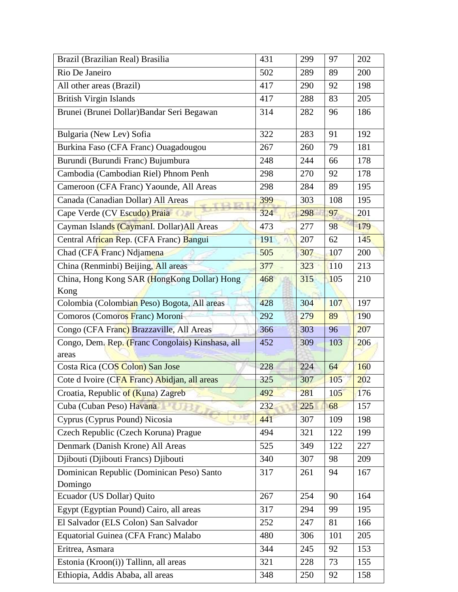| Brazil (Brazilian Real) Brasilia                 | 431 | 299 | 97  | 202 |
|--------------------------------------------------|-----|-----|-----|-----|
| Rio De Janeiro                                   | 502 | 289 | 89  | 200 |
| All other areas (Brazil)                         | 417 | 290 | 92  | 198 |
| <b>British Virgin Islands</b>                    | 417 | 288 | 83  | 205 |
| Brunei (Brunei Dollar) Bandar Seri Begawan       | 314 | 282 | 96  | 186 |
| Bulgaria (New Lev) Sofia                         | 322 | 283 | 91  | 192 |
| Burkina Faso (CFA Franc) Ouagadougou             | 267 | 260 | 79  | 181 |
| Burundi (Burundi Franc) Bujumbura                | 248 | 244 | 66  | 178 |
| Cambodia (Cambodian Riel) Phnom Penh             | 298 | 270 | 92  | 178 |
| Cameroon (CFA Franc) Yaounde, All Areas          | 298 | 284 | 89  | 195 |
| Canada (Canadian Dollar) All Areas               | 399 | 303 | 108 | 195 |
| Cape Verde (CV Escudo) Praia                     | 324 | 298 | 97  | 201 |
| Cayman Islands (CaymanI. Dollar) All Areas       | 473 | 277 | 98  | 179 |
| Central African Rep. (CFA Franc) Bangui          | 191 | 207 | 62  | 145 |
| Chad (CFA Franc) Ndjamena                        | 505 | 307 | 107 | 200 |
| China (Renminbi) Beijing, All areas              | 377 | 323 | 110 | 213 |
| China, Hong Kong SAR (HongKong Dollar) Hong      | 468 | 315 | 105 | 210 |
| Kong                                             |     |     |     |     |
| Colombia (Colombian Peso) Bogota, All areas      | 428 | 304 | 107 | 197 |
| Comoros (Comoros Franc) Moroni                   | 292 | 279 | 89  | 190 |
| Congo (CFA Franc) Brazzaville, All Areas         | 366 | 303 | 96  | 207 |
| Congo, Dem. Rep. (Franc Congolais) Kinshasa, all | 452 | 309 | 103 | 206 |
| areas                                            |     |     |     |     |
| Costa Rica (COS Colon) San Jose                  | 228 | 224 | 64  | 160 |
| Cote d Ivoire (CFA Franc) Abidjan, all areas     | 325 | 307 | 105 | 202 |
| Croatia, Republic of (Kuna) Zagreb               | 492 | 281 | 105 | 176 |
| Cuba (Cuban Peso) Havana                         | 232 | 225 | 68  | 157 |
| Cyprus (Cyprus Pound) Nicosia                    | 441 | 307 | 109 | 198 |
| Czech Republic (Czech Koruna) Prague             | 494 | 321 | 122 | 199 |
| Denmark (Danish Krone) All Areas                 | 525 | 349 | 122 | 227 |
| Djibouti (Djibouti Francs) Djibouti              | 340 | 307 | 98  | 209 |
| Dominican Republic (Dominican Peso) Santo        | 317 | 261 | 94  | 167 |
| Domingo                                          |     |     |     |     |
| Ecuador (US Dollar) Quito                        | 267 | 254 | 90  | 164 |
| Egypt (Egyptian Pound) Cairo, all areas          | 317 | 294 | 99  | 195 |
| El Salvador (ELS Colon) San Salvador             | 252 | 247 | 81  | 166 |
| Equatorial Guinea (CFA Franc) Malabo             | 480 | 306 | 101 | 205 |
| Eritrea, Asmara                                  | 344 | 245 | 92  | 153 |
| Estonia (Kroon(i)) Tallinn, all areas            | 321 | 228 | 73  | 155 |
| Ethiopia, Addis Ababa, all areas                 | 348 | 250 | 92  | 158 |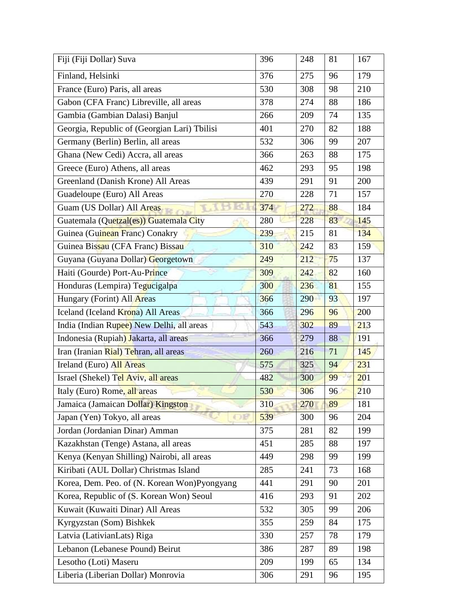| Fiji (Fiji Dollar) Suva                      | 396 | 248 | 81 | 167 |
|----------------------------------------------|-----|-----|----|-----|
| Finland, Helsinki                            | 376 | 275 | 96 | 179 |
| France (Euro) Paris, all areas               | 530 | 308 | 98 | 210 |
| Gabon (CFA Franc) Libreville, all areas      | 378 | 274 | 88 | 186 |
| Gambia (Gambian Dalasi) Banjul               | 266 | 209 | 74 | 135 |
| Georgia, Republic of (Georgian Lari) Tbilisi | 401 | 270 | 82 | 188 |
| Germany (Berlin) Berlin, all areas           | 532 | 306 | 99 | 207 |
| Ghana (New Cedi) Accra, all areas            | 366 | 263 | 88 | 175 |
| Greece (Euro) Athens, all areas              | 462 | 293 | 95 | 198 |
| Greenland (Danish Krone) All Areas           | 439 | 291 | 91 | 200 |
| Guadeloupe (Euro) All Areas                  | 270 | 228 | 71 | 157 |
| Guam (US Dollar) All Areas                   | 374 | 272 | 88 | 184 |
| Guatemala (Quetzal(es)) Guatemala City       | 280 | 228 | 83 | 145 |
| Guinea (Guinean Franc) Conakry               | 239 | 215 | 81 | 134 |
| Guinea Bissau (CFA Franc) Bissau             | 310 | 242 | 83 | 159 |
| Guyana (Guyana Dollar) Georgetown            | 249 | 212 | 75 | 137 |
| Haiti (Gourde) Port-Au-Prince                | 309 | 242 | 82 | 160 |
| Honduras (Lempira) Tegucigalpa               | 300 | 236 | 81 | 155 |
| Hungary (Forint) All Areas                   | 366 | 290 | 93 | 197 |
| Iceland (Iceland Krona) All Areas            | 366 | 296 | 96 | 200 |
| India (Indian Rupee) New Delhi, all areas    | 543 | 302 | 89 | 213 |
| Indonesia (Rupiah) Jakarta, all areas        | 366 | 279 | 88 | 191 |
| Iran (Iranian Rial) Tehran, all areas        | 260 | 216 | 71 | 145 |
| Ireland (Euro) All Areas                     | 575 | 325 | 94 | 231 |
| Israel (Shekel) Tel Aviv, all areas          | 482 | 300 | 99 | 201 |
| Italy (Euro) Rome, all areas                 | 530 | 306 | 96 | 210 |
| Jamaica (Jamaican Dollar) Kingston           | 310 | 270 | 89 | 181 |
| Japan (Yen) Tokyo, all areas                 | 539 | 300 | 96 | 204 |
| Jordan (Jordanian Dinar) Amman               | 375 | 281 | 82 | 199 |
| Kazakhstan (Tenge) Astana, all areas         | 451 | 285 | 88 | 197 |
| Kenya (Kenyan Shilling) Nairobi, all areas   | 449 | 298 | 99 | 199 |
| Kiribati (AUL Dollar) Christmas Island       | 285 | 241 | 73 | 168 |
| Korea, Dem. Peo. of (N. Korean Won)Pyongyang | 441 | 291 | 90 | 201 |
| Korea, Republic of (S. Korean Won) Seoul     | 416 | 293 | 91 | 202 |
| Kuwait (Kuwaiti Dinar) All Areas             | 532 | 305 | 99 | 206 |
| Kyrgyzstan (Som) Bishkek                     | 355 | 259 | 84 | 175 |
| Latvia (LativianLats) Riga                   | 330 | 257 | 78 | 179 |
| Lebanon (Lebanese Pound) Beirut              | 386 | 287 | 89 | 198 |
| Lesotho (Loti) Maseru                        | 209 | 199 | 65 | 134 |
| Liberia (Liberian Dollar) Monrovia           | 306 | 291 | 96 | 195 |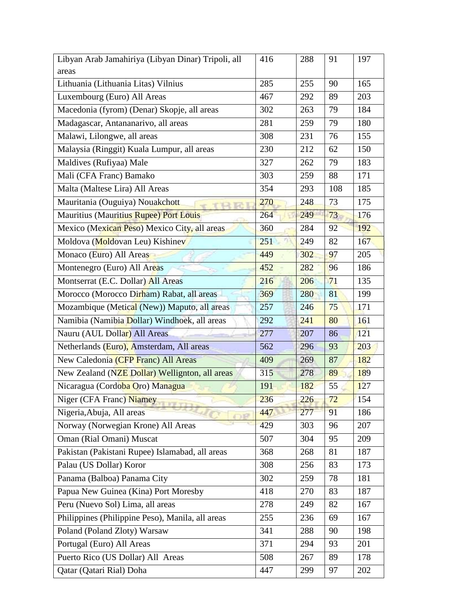| Libyan Arab Jamahiriya (Libyan Dinar) Tripoli, all | 416 | 288 | 91  | 197 |
|----------------------------------------------------|-----|-----|-----|-----|
| areas                                              |     |     |     |     |
| Lithuania (Lithuania Litas) Vilnius                | 285 | 255 | 90  | 165 |
| Luxembourg (Euro) All Areas                        | 467 | 292 | 89  | 203 |
| Macedonia (fyrom) (Denar) Skopje, all areas        | 302 | 263 | 79  | 184 |
| Madagascar, Antananarivo, all areas                | 281 | 259 | 79  | 180 |
| Malawi, Lilongwe, all areas                        | 308 | 231 | 76  | 155 |
| Malaysia (Ringgit) Kuala Lumpur, all areas         | 230 | 212 | 62  | 150 |
| Maldives (Rufiyaa) Male                            | 327 | 262 | 79  | 183 |
| Mali (CFA Franc) Bamako                            | 303 | 259 | 88  | 171 |
| Malta (Maltese Lira) All Areas                     | 354 | 293 | 108 | 185 |
| Mauritania (Ouguiya) Nouakchott                    | 270 | 248 | 73  | 175 |
| <b>Mauritius (Mauritius Rupee) Port Louis</b>      | 264 | 249 | 73  | 176 |
| Mexico (Mexican Peso) Mexico City, all areas       | 360 | 284 | 92  | 192 |
| Moldova (Moldovan Leu) Kishinev                    | 251 | 249 | 82  | 167 |
| Monaco (Euro) All Areas                            | 449 | 302 | 97  | 205 |
| Montenegro (Euro) All Areas                        | 452 | 282 | 96  | 186 |
| Montserrat (E.C. Dollar) All Areas                 | 216 | 206 | 71  | 135 |
| Morocco (Morocco Dirham) Rabat, all areas          | 369 | 280 | 81  | 199 |
| Mozambique (Metical (New)) Maputo, all areas       | 257 | 246 | 75  | 171 |
| Namibia (Namibia Dollar) Windhoek, all areas       | 292 | 241 | 80  | 161 |
| Nauru (AUL Dollar) All Areas                       | 277 | 207 | 86  | 121 |
| Netherlands (Euro), Amsterdam, All areas           | 562 | 296 | 93  | 203 |
| New Caledonia (CFP Franc) All Areas                | 409 | 269 | 87  | 182 |
| New Zealand (NZE Dollar) Wellignton, all areas     | 315 | 278 | 89  | 189 |
| Nicaragua (Cordoba Oro) Managua                    | 191 | 182 | 55  | 127 |
| Niger (CFA Franc) Niamey                           | 236 | 226 | 72  | 154 |
| Nigeria, Abuja, All areas                          | 447 | 277 | 91  | 186 |
| Norway (Norwegian Krone) All Areas                 | 429 | 303 | 96  | 207 |
| Oman (Rial Omani) Muscat                           | 507 | 304 | 95  | 209 |
| Pakistan (Pakistani Rupee) Islamabad, all areas    | 368 | 268 | 81  | 187 |
| Palau (US Dollar) Koror                            | 308 | 256 | 83  | 173 |
| Panama (Balboa) Panama City                        | 302 | 259 | 78  | 181 |
| Papua New Guinea (Kina) Port Moresby               | 418 | 270 | 83  | 187 |
| Peru (Nuevo Sol) Lima, all areas                   | 278 | 249 | 82  | 167 |
| Philippines (Philippine Peso), Manila, all areas   | 255 | 236 | 69  | 167 |
| Poland (Poland Zloty) Warsaw                       | 341 | 288 | 90  | 198 |
| Portugal (Euro) All Areas                          | 371 | 294 | 93  | 201 |
| Puerto Rico (US Dollar) All Areas                  | 508 | 267 | 89  | 178 |
| Qatar (Qatari Rial) Doha                           | 447 | 299 | 97  | 202 |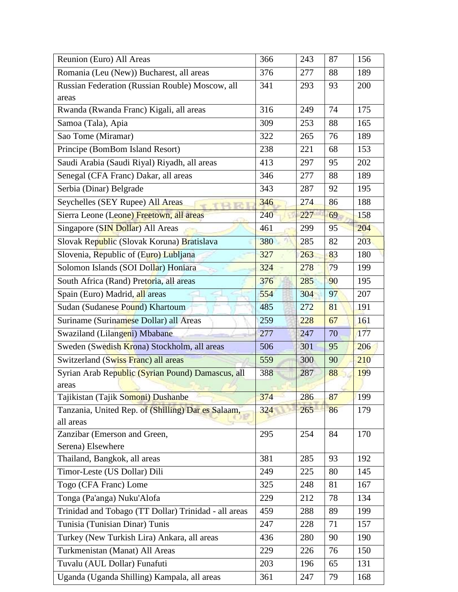| Reunion (Euro) All Areas                                        | 366 | 243 | 87 | 156 |
|-----------------------------------------------------------------|-----|-----|----|-----|
| Romania (Leu (New)) Bucharest, all areas                        | 376 | 277 | 88 | 189 |
| Russian Federation (Russian Rouble) Moscow, all                 | 341 | 293 | 93 | 200 |
| areas                                                           |     |     |    |     |
| Rwanda (Rwanda Franc) Kigali, all areas                         | 316 | 249 | 74 | 175 |
| Samoa (Tala), Apia                                              | 309 | 253 | 88 | 165 |
| Sao Tome (Miramar)                                              | 322 | 265 | 76 | 189 |
| Principe (BomBom Island Resort)                                 | 238 | 221 | 68 | 153 |
| Saudi Arabia (Saudi Riyal) Riyadh, all areas                    | 413 | 297 | 95 | 202 |
| Senegal (CFA Franc) Dakar, all areas                            | 346 | 277 | 88 | 189 |
| Serbia (Dinar) Belgrade                                         | 343 | 287 | 92 | 195 |
| Seychelles (SEY Rupee) All Areas                                | 346 | 274 | 86 | 188 |
| Sierra Leone (Leone) Freetown, all areas                        | 240 | 227 | 69 | 158 |
| Singapore (SIN Dollar) All Areas                                | 461 | 299 | 95 | 204 |
| Slovak Republic (Slovak Koruna) Bratislava                      | 380 | 285 | 82 | 203 |
| Slovenia, Republic of (Euro) Lubljana                           | 327 | 263 | 83 | 180 |
| Solomon Islands (SOI Dollar) Honiara                            | 324 | 278 | 79 | 199 |
| South Africa (Rand) Pretoria, all areas                         | 376 | 285 | 90 | 195 |
| Spain (Euro) Madrid, all areas                                  | 554 | 304 | 97 | 207 |
| Sudan (Sudanese Pound) Khartoum                                 | 485 | 272 | 81 | 191 |
| Suriname (Surinamese Dollar) all Areas                          | 259 | 228 | 67 | 161 |
| Swaziland (Lilangeni) Mbabane                                   | 277 | 247 | 70 | 177 |
| Sweden (Swedish Krona) Stockholm, all areas                     | 506 | 301 | 95 | 206 |
| Switzerland (Swiss Franc) all areas                             | 559 | 300 | 90 | 210 |
| Syrian Arab Republic (Syrian Pound) Damascus, all               | 388 | 287 | 88 | 199 |
| areas                                                           |     |     |    |     |
| Tajikistan (Tajik Somoni) Dushanbe                              | 374 | 286 | 87 | 199 |
| Tanzania, United Rep. of (Shilling) Dar es Salaam,<br>all areas | 324 | 265 | 86 | 179 |
| Zanzibar (Emerson and Green,                                    | 295 | 254 | 84 | 170 |
| Serena) Elsewhere                                               |     |     |    |     |
| Thailand, Bangkok, all areas                                    | 381 | 285 | 93 | 192 |
| Timor-Leste (US Dollar) Dili                                    | 249 | 225 | 80 | 145 |
| Togo (CFA Franc) Lome                                           | 325 | 248 | 81 | 167 |
| Tonga (Pa'anga) Nuku'Alofa                                      | 229 | 212 | 78 | 134 |
| Trinidad and Tobago (TT Dollar) Trinidad - all areas            | 459 | 288 | 89 | 199 |
| Tunisia (Tunisian Dinar) Tunis                                  | 247 | 228 | 71 | 157 |
| Turkey (New Turkish Lira) Ankara, all areas                     | 436 | 280 | 90 | 190 |
| Turkmenistan (Manat) All Areas                                  | 229 | 226 | 76 | 150 |
| Tuvalu (AUL Dollar) Funafuti                                    | 203 | 196 | 65 | 131 |
| Uganda (Uganda Shilling) Kampala, all areas                     | 361 | 247 | 79 | 168 |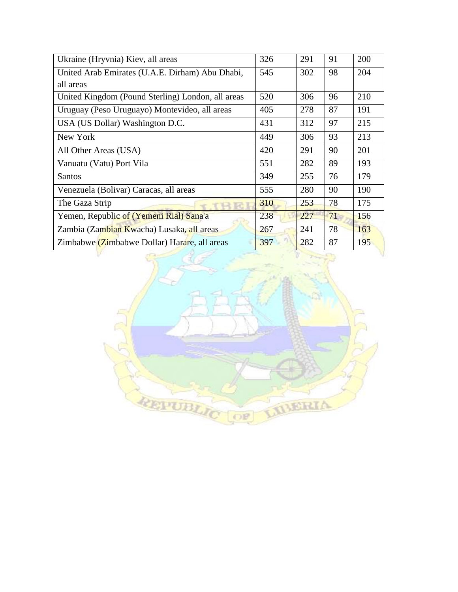| Ukraine (Hryvnia) Kiev, all areas                 | 326 | 291 | 91 | 200 |
|---------------------------------------------------|-----|-----|----|-----|
| United Arab Emirates (U.A.E. Dirham) Abu Dhabi,   | 545 | 302 | 98 | 204 |
| all areas                                         |     |     |    |     |
| United Kingdom (Pound Sterling) London, all areas | 520 | 306 | 96 | 210 |
| Uruguay (Peso Uruguayo) Montevideo, all areas     | 405 | 278 | 87 | 191 |
| USA (US Dollar) Washington D.C.                   | 431 | 312 | 97 | 215 |
| New York                                          | 449 | 306 | 93 | 213 |
| All Other Areas (USA)                             | 420 | 291 | 90 | 201 |
| Vanuatu (Vatu) Port Vila                          | 551 | 282 | 89 | 193 |
| <b>Santos</b>                                     | 349 | 255 | 76 | 179 |
| Venezuela (Bolivar) Caracas, all areas            | 555 | 280 | 90 | 190 |
| The Gaza Strip                                    | 310 | 253 | 78 | 175 |
| Yemen, Republic of (Yemeni Rial) Sana'a           | 238 | 227 | 71 | 156 |
| Zambia (Zambian Kwacha) Lusaka, all areas         | 267 | 241 | 78 | 163 |
| Zimbabwe (Zimbabwe Dollar) Harare, all areas      | 397 | 282 | 87 | 195 |

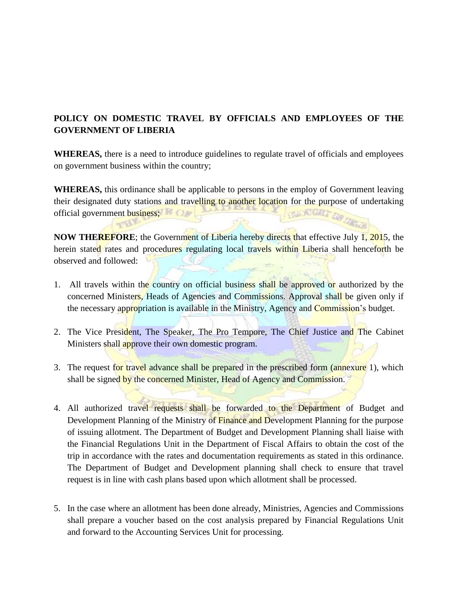# **POLICY ON DOMESTIC TRAVEL BY OFFICIALS AND EMPLOYEES OF THE GOVERNMENT OF LIBERIA**

**WHEREAS,** there is a need to introduce guidelines to regulate travel of officials and employees on government business within the country;

**WHEREAS,** this ordinance shall be applicable to persons in the employ of Government leaving their designated duty stations and travelling to another location for the purpose of undertaking official government business; official government business;

**NOW THEREFORE**; the Government of Liberia hereby directs that effective July 1, 2015, the herein stated rates and procedures regulating local travels within Liberia shall henceforth be observed and followed:

- 1. All travels within the country on official business shall be approved or authorized by the concerned Ministers, Heads of Agencies and Commissions. Approval shall be given only if the necessary appropriation is available in the Ministry, Agency and Commission's budget.
- 2. The Vice President, The Speaker, The Pro Tempore, The Chief Justice and The Cabinet Ministers shall approve their own domestic program.
- 3. The request for travel advance shall be prepared in the prescribed form (annexure 1), which shall be signed by the concerned Minister, Head of Agency and Commission.
- 4. All authorized travel requests shall be forwarded to the Department of Budget and Development Planning of the Ministry of Finance and Development Planning for the purpose of issuing allotment. The Department of Budget and Development Planning shall liaise with the Financial Regulations Unit in the Department of Fiscal Affairs to obtain the cost of the trip in accordance with the rates and documentation requirements as stated in this ordinance. The Department of Budget and Development planning shall check to ensure that travel request is in line with cash plans based upon which allotment shall be processed.
- 5. In the case where an allotment has been done already, Ministries, Agencies and Commissions shall prepare a voucher based on the cost analysis prepared by Financial Regulations Unit and forward to the Accounting Services Unit for processing.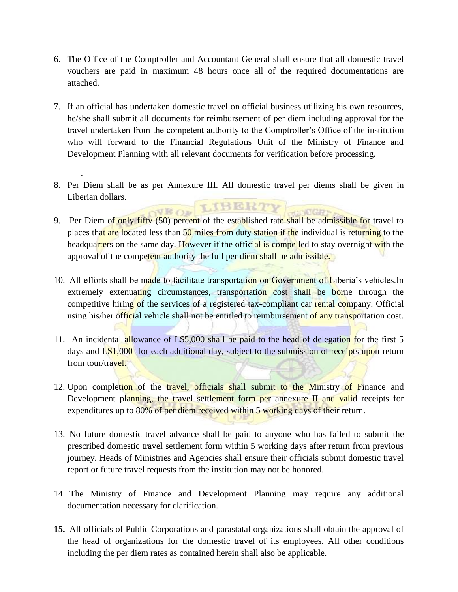- 6. The Office of the Comptroller and Accountant General shall ensure that all domestic travel vouchers are paid in maximum 48 hours once all of the required documentations are attached.
- 7. If an official has undertaken domestic travel on official business utilizing his own resources, he/she shall submit all documents for reimbursement of per diem including approval for the travel undertaken from the competent authority to the Comptroller's Office of the institution who will forward to the Financial Regulations Unit of the Ministry of Finance and Development Planning with all relevant documents for verification before processing.
- 8. Per Diem shall be as per Annexure III. All domestic travel per diems shall be given in Liberian dollars. VEOF LIBERTY

.

- 9. Per Diem of only fifty (50) percent of the established rate shall be admissible for travel to places that are located less than 50 miles from duty station if the individual is returning to the headquarters on the same day. However if the official is compelled to stay overnight with the approval of the competent authority the full per diem shall be admissible.
- 10. All efforts shall be made to facilitate transportation on Government of Liberia's vehicles. In extremely extenuating circumstances, transportation cost shall be borne through the competitive hiring of the services of a registered tax-compliant car rental company. Official using his/her official vehicle shall not be entitled to reimbursement of any transportation cost.
- 11. An incidental allowance of L\$5,000 shall be paid to the head of delegation for the first 5 days and LS1,000 for each additional day, subject to the submission of receipts upon return from tour/travel.
- 12. Upon completion of the travel, officials shall submit to the Ministry of Finance and Development planning, the travel settlement form per annexure II and valid receipts for expenditures up to 80% of per diem received within 5 working days of their return.
- 13. No future domestic travel advance shall be paid to anyone who has failed to submit the prescribed domestic travel settlement form within 5 working days after return from previous journey. Heads of Ministries and Agencies shall ensure their officials submit domestic travel report or future travel requests from the institution may not be honored.
- 14. The Ministry of Finance and Development Planning may require any additional documentation necessary for clarification.
- **15.** All officials of Public Corporations and parastatal organizations shall obtain the approval of the head of organizations for the domestic travel of its employees. All other conditions including the per diem rates as contained herein shall also be applicable.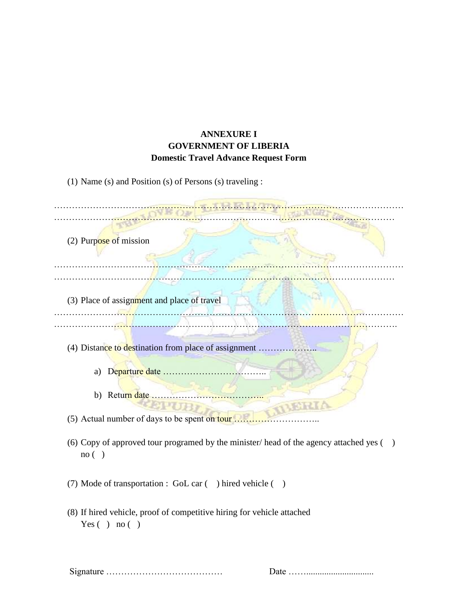# **ANNEXURE I GOVERNMENT OF LIBERIA Domestic Travel Advance Request Form**

(1) Name (s) and Position (s) of Persons (s) traveling :

| (2) Purpose of mission                                                                                   |
|----------------------------------------------------------------------------------------------------------|
|                                                                                                          |
| (3) Place of assignment and place of travel                                                              |
|                                                                                                          |
| (4) Distance to destination from place of assignment                                                     |
| a)                                                                                                       |
|                                                                                                          |
| (5) Actual number of days to be spent on tour.                                                           |
| (6) Copy of approved tour programed by the minister/head of the agency attached yes ()<br>no( )          |
| (7) Mode of transportation : GoL car () hired vehicle ()                                                 |
| (8) If hired vehicle, proof of competitive hiring for vehicle attached<br>Yes ( $\cdot$ ) no ( $\cdot$ ) |

Signature ………………………………… Date ……..............................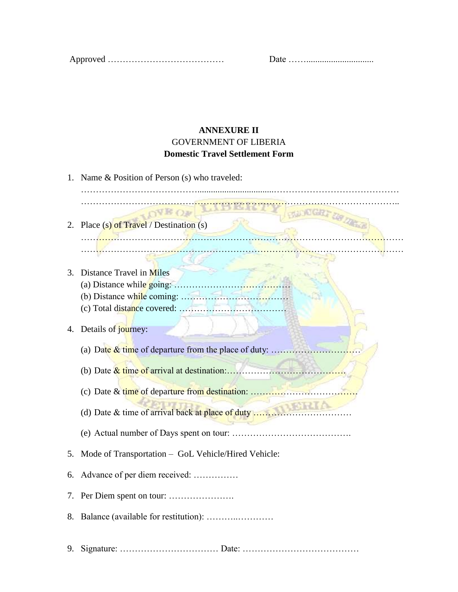Approved ………………………………… Date ……..............................

## **ANNEXURE II** GOVERNMENT OF LIBERIA **Domestic Travel Settlement Form**

1. Name & Position of Person (s) who traveled: …………………………………………………………………………………………….. VE Oa CREATING 2. Place (s) of Travel / Destination (s) ……………………………………………………………………………………………… ……………………………………………………………………………………………… 3. Distance Travel in Miles (a) Distance while going: ………………………………… (b) Distance while coming: ……………………………… (c) Total distance covered: ……………………………… 4. Details of journey: (a) Date  $&$  time of departure from the place of duty: ......... (b) Date & time of arrival at destination:…………………………………. (c) Date & time of departure from destination: ……………………………… (d) Date & time of arrival back at place of duty …………………………… (e) Actual number of Days spent on tour: …………………………………. 5. Mode of Transportation – GoL Vehicle/Hired Vehicle: 6. Advance of per diem received: …………… 7. Per Diem spent on tour: …………………. 8. Balance (available for restitution): ………..………… 9. Signature: …………………………… Date: …………………………………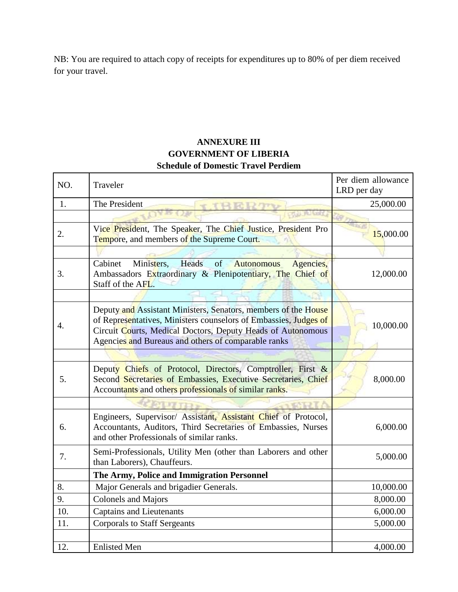NB: You are required to attach copy of receipts for expenditures up to 80% of per diem received for your travel.

# **ANNEXURE III GOVERNMENT OF LIBERIA Schedule of Domestic Travel Perdiem**

| NO. | Traveler                                                                                                                                                                                                                                                 | Per diem allowance<br>LRD per day |
|-----|----------------------------------------------------------------------------------------------------------------------------------------------------------------------------------------------------------------------------------------------------------|-----------------------------------|
| 1.  | The President<br>THERM                                                                                                                                                                                                                                   | 25,000.00                         |
|     |                                                                                                                                                                                                                                                          |                                   |
| 2.  | Vice President, The Speaker, The Chief Justice, President Pro<br>Tempore, and members of the Supreme Court.                                                                                                                                              | 15,000.00                         |
|     |                                                                                                                                                                                                                                                          |                                   |
| 3.  | Heads<br>Ministers,<br>of<br>Cabinet<br>Agencies,<br><b>Autonomous</b><br>Ambassadors Extraordinary & Plenipotentiary, The Chief of<br>Staff of the AFL.                                                                                                 | 12,000.00                         |
|     |                                                                                                                                                                                                                                                          |                                   |
| 4.  | Deputy and Assistant Ministers, Senators, members of the House<br>of Representatives, Ministers counselors of Embassies, Judges of<br>Circuit Courts, Medical Doctors, Deputy Heads of Autonomous<br>Agencies and Bureaus and others of comparable ranks | 10,000.00                         |
|     |                                                                                                                                                                                                                                                          |                                   |
| 5.  | Deputy Chiefs of Protocol, Directors, Comptroller, First &<br>Second Secretaries of Embassies, Executive Secretaries, Chief<br>Accountants and others professionals of similar ranks.                                                                    | 8,000.00                          |
|     |                                                                                                                                                                                                                                                          |                                   |
| 6.  | Engineers, Supervisor/ Assistant, Assistant Chief of Protocol,<br>Accountants, Auditors, Third Secretaries of Embassies, Nurses<br>and other Professionals of similar ranks.                                                                             | 6,000.00                          |
| 7.  | Semi-Professionals, Utility Men (other than Laborers and other<br>than Laborers), Chauffeurs.                                                                                                                                                            | 5,000.00                          |
|     | The Army, Police and Immigration Personnel                                                                                                                                                                                                               |                                   |
| 8.  | Major Generals and brigadier Generals.                                                                                                                                                                                                                   | 10,000.00                         |
| 9.  | <b>Colonels and Majors</b>                                                                                                                                                                                                                               | 8,000.00                          |
| 10. | <b>Captains and Lieutenants</b>                                                                                                                                                                                                                          | 6,000.00                          |
| 11. | <b>Corporals to Staff Sergeants</b>                                                                                                                                                                                                                      | 5,000.00                          |
|     |                                                                                                                                                                                                                                                          |                                   |
| 12. | <b>Enlisted Men</b>                                                                                                                                                                                                                                      | 4,000.00                          |